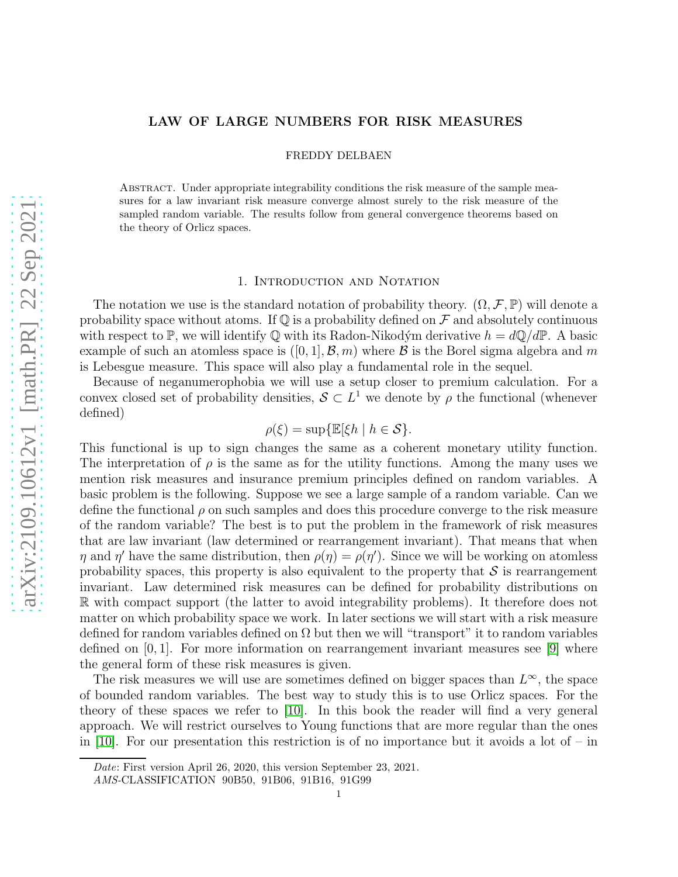# LAW OF LARGE NUMBERS FOR RISK MEASURES

FREDDY DELBAEN

Abstract. Under appropriate integrability conditions the risk measure of the sample measures for a law invariant risk measure converge almost surely to the risk measure of the sampled random variable. The results follow from general convergence theorems based on the theory of Orlicz spaces.

#### 1. INTRODUCTION AND NOTATION

The notation we use is the standard notation of probability theory.  $(\Omega, \mathcal{F}, \mathbb{P})$  will denote a probability space without atoms. If  $\mathbb Q$  is a probability defined on  $\mathcal F$  and absolutely continuous with respect to P, we will identify Q with its Radon-Nikodým derivative  $h = dQ/dP$ . A basic example of such an atomless space is  $([0, 1], \mathcal{B}, m)$  where  $\mathcal B$  is the Borel sigma algebra and m is Lebesgue measure. This space will also play a fundamental role in the sequel.

Because of neganumerophobia we will use a setup closer to premium calculation. For a convex closed set of probability densities,  $S \subset L^1$  we denote by  $\rho$  the functional (whenever defined)

$$
\rho(\xi) = \sup \{ \mathbb{E}[\xi h \mid h \in \mathcal{S} \}.
$$

This functional is up to sign changes the same as a coherent monetary utility function. The interpretation of  $\rho$  is the same as for the utility functions. Among the many uses we mention risk measures and insurance premium principles defined on random variables. A basic problem is the following. Suppose we see a large sample of a random variable. Can we define the functional  $\rho$  on such samples and does this procedure converge to the risk measure of the random variable? The best is to put the problem in the framework of risk measures that are law invariant (law determined or rearrangement invariant). That means that when  $\eta$  and  $\eta'$  have the same distribution, then  $\rho(\eta) = \rho(\eta')$ . Since we will be working on atomless probability spaces, this property is also equivalent to the property that  $\mathcal S$  is rearrangement invariant. Law determined risk measures can be defined for probability distributions on R with compact support (the latter to avoid integrability problems). It therefore does not matter on which probability space we work. In later sections we will start with a risk measure defined for random variables defined on  $\Omega$  but then we will "transport" it to random variables defined on  $[0, 1]$ . For more information on rearrangement invariant measures see [\[9\]](#page-5-0) where the general form of these risk measures is given.

The risk measures we will use are sometimes defined on bigger spaces than  $L^{\infty}$ , the space of bounded random variables. The best way to study this is to use Orlicz spaces. For the theory of these spaces we refer to [\[10\]](#page-5-1). In this book the reader will find a very general approach. We will restrict ourselves to Young functions that are more regular than the ones in [\[10\]](#page-5-1). For our presentation this restriction is of no importance but it avoids a lot of – in

Date: First version April 26, 2020, this version September 23, 2021.

AMS-CLASSIFICATION 90B50, 91B06, 91B16, 91G99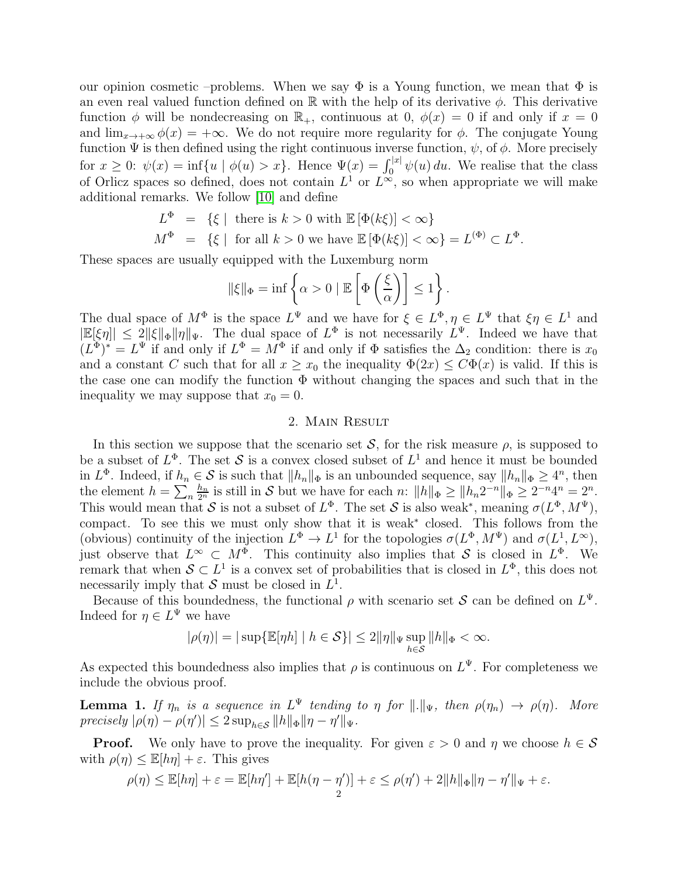our opinion cosmetic –problems. When we say  $\Phi$  is a Young function, we mean that  $\Phi$  is an even real valued function defined on R with the help of its derivative  $\phi$ . This derivative function  $\phi$  will be nondecreasing on  $\mathbb{R}_+$ , continuous at 0,  $\phi(x) = 0$  if and only if  $x = 0$ and  $\lim_{x\to+\infty}\phi(x) = +\infty$ . We do not require more regularity for  $\phi$ . The conjugate Young function  $\Psi$  is then defined using the right continuous inverse function,  $\psi$ , of  $\phi$ . More precisely for  $x \geq 0$ :  $\psi(x) = \inf\{u \mid \phi(u) > x\}$ . Hence  $\Psi(x) = \int_0^{|x|} \psi(u) du$ . We realise that the class of Orlicz spaces so defined, does not contain  $L^1$  or  $L^{\infty}$ , so when appropriate we will make additional remarks. We follow [\[10\]](#page-5-1) and define

$$
L^{\Phi} = \{ \xi \mid \text{ there is } k > 0 \text{ with } \mathbb{E}[\Phi(k\xi)] < \infty \}
$$

$$
M^{\Phi} = \{ \xi \mid \text{ for all } k > 0 \text{ we have } \mathbb{E}[\Phi(k\xi)] < \infty \} = L^{(\Phi)} \subset L^{\Phi}.
$$

These spaces are usually equipped with the Luxemburg norm

$$
\|\xi\|_{\Phi} = \inf \left\{\alpha > 0 \mid \mathbb{E}\left[\Phi\left(\frac{\xi}{\alpha}\right)\right] \le 1\right\}.
$$

The dual space of  $M^{\Phi}$  is the space  $L^{\Psi}$  and we have for  $\xi \in L^{\Phi}, \eta \in L^{\Psi}$  that  $\xi \eta \in L^1$  and  $|\mathbb{E}[\xi\eta]| \leq 2\|\xi\|_{\Phi}\|\eta\|_{\Psi}$ . The dual space of  $L^{\Phi}$  is not necessarily  $L^{\Psi}$ . Indeed we have that  $(L^{\Phi})^* = L^{\Psi}$  if and only if  $L^{\Phi} = M^{\Phi}$  if and only if  $\Phi$  satisfies the  $\Delta_2$  condition: there is  $x_0$ and a constant C such that for all  $x \ge x_0$  the inequality  $\Phi(2x) \le C\Phi(x)$  is valid. If this is the case one can modify the function  $\Phi$  without changing the spaces and such that in the inequality we may suppose that  $x_0 = 0$ .

### 2. Main Result

In this section we suppose that the scenario set  $S$ , for the risk measure  $\rho$ , is supposed to be a subset of  $L^{\Phi}$ . The set S is a convex closed subset of  $L^1$  and hence it must be bounded in  $L^{\Phi}$ . Indeed, if  $h_n \in \mathcal{S}$  is such that  $||h_n||_{\Phi}$  is an unbounded sequence, say  $||h_n||_{\Phi} \geq 4^n$ , then the element  $h = \sum_n$  $\frac{h_n}{2^n}$  is still in S but we have for each n:  $||h||_{\Phi} \ge ||h_n 2^{-n}||_{\Phi} \ge 2^{-n} 4^n = 2^n$ . This would mean that S is not a subset of  $L^{\Phi}$ . The set S is also weak<sup>\*</sup>, meaning  $\sigma(L^{\Phi}, M^{\Psi})$ , compact. To see this we must only show that it is weak<sup>∗</sup> closed. This follows from the (obvious) continuity of the injection  $L^{\Phi} \to L^1$  for the topologies  $\sigma(L^{\Phi}, M^{\Psi})$  and  $\sigma(L^1, L^{\infty})$ , just observe that  $L^{\infty} \subset M^{\Phi}$ . This continuity also implies that S is closed in  $L^{\Phi}$ . We remark that when  $S \subset L^1$  is a convex set of probabilities that is closed in  $L^{\Phi}$ , this does not necessarily imply that  $S$  must be closed in  $L^1$ .

Because of this boundedness, the functional  $\rho$  with scenario set S can be defined on  $L^{\Psi}$ . Indeed for  $\eta \in L^{\Psi}$  we have

$$
|\rho(\eta)| = |\sup \{ \mathbb{E}[\eta h] \mid h \in \mathcal{S} \} | \le 2 \|\eta\|_{\Psi} \sup_{h \in \mathcal{S}} \|h\|_{\Phi} < \infty.
$$

As expected this boundedness also implies that  $\rho$  is continuous on  $L^{\Psi}$ . For completeness we include the obvious proof.

**Lemma 1.** If  $\eta_n$  is a sequence in  $L^{\Psi}$  tending to  $\eta$  for  $\|.\|_{\Psi}$ , then  $\rho(\eta_n) \to \rho(\eta)$ . More  $precisely$   $|\rho(\eta) - \rho(\eta')| \leq 2 \sup_{h \in \mathcal{S}} ||h||_{\Phi} ||\eta - \eta'||_{\Psi}.$ 

**Proof.** We only have to prove the inequality. For given  $\varepsilon > 0$  and  $\eta$  we choose  $h \in \mathcal{S}$ with  $\rho(\eta) \leq \mathbb{E}[h\eta] + \varepsilon$ . This gives

$$
\rho(\eta) \leq \mathbb{E}[h\eta] + \varepsilon = \mathbb{E}[h\eta'] + \mathbb{E}[h(\eta-\eta')] + \varepsilon \leq \rho(\eta') + 2\|h\|_{\Phi}\|\eta-\eta'\|_{\Psi} + \varepsilon.
$$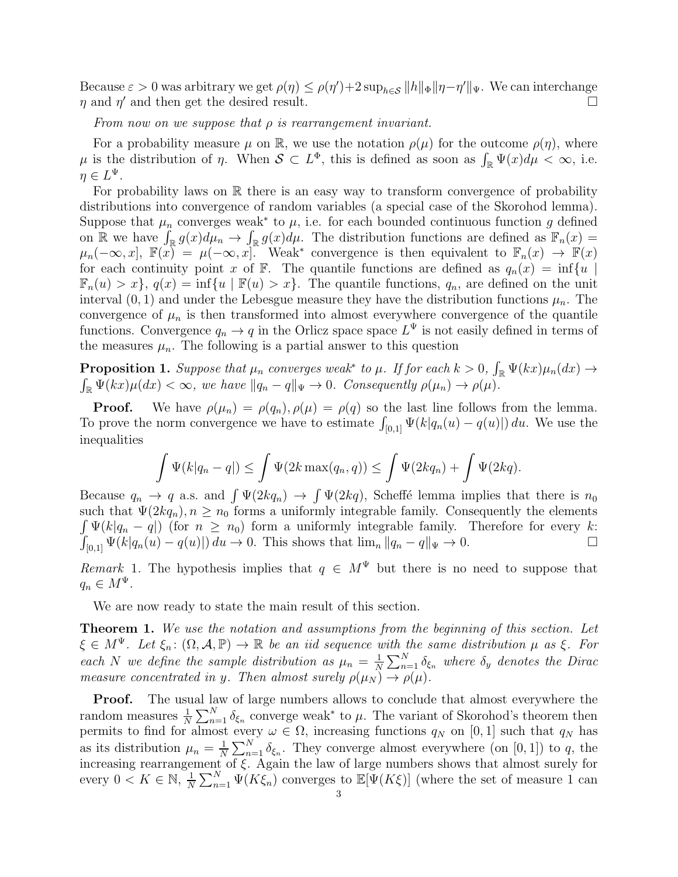Because  $\varepsilon > 0$  was arbitrary we get  $\rho(\eta) \leq \rho(\eta') + 2 \sup_{h \in \mathcal{S}} ||h||_{\Phi} ||\eta - \eta'||_{\Psi}$ . We can interchange  $\eta$  and  $\eta'$  and then get the desired result.

From now on we suppose that  $\rho$  is rearrangement invariant.

For a probability measure  $\mu$  on R, we use the notation  $\rho(\mu)$  for the outcome  $\rho(\eta)$ , where  $\mu$  is the distribution of  $\eta$ . When  $\mathcal{S} \subset L^{\Phi}$ , this is defined as soon as  $\int_{\mathbb{R}} \Psi(x) d\mu < \infty$ , i.e.  $\eta \in L^{\Psi}.$ 

For probability laws on  $\mathbb R$  there is an easy way to transform convergence of probability distributions into convergence of random variables (a special case of the Skorohod lemma). Suppose that  $\mu_n$  converges weak<sup>\*</sup> to  $\mu$ , i.e. for each bounded continuous function g defined on R we have  $\int_{\mathbb{R}} g(x) d\mu_n \to \int_{\mathbb{R}} g(x) d\mu$ . The distribution functions are defined as  $\mathbb{F}_n(x) =$  $\mu_n(-\infty, x], \ \mathbb{F}(x) = \mu(-\infty, x].$  Weak<sup>\*</sup> convergence is then equivalent to  $\mathbb{F}_n(x) \to \mathbb{F}(x)$ for each continuity point x of F. The quantile functions are defined as  $q_n(x) = \inf\{u \mid$  $\mathbb{F}_n(u) > x$ ,  $q(x) = \inf\{u \mid \mathbb{F}(u) > x\}$ . The quantile functions,  $q_n$ , are defined on the unit interval  $(0, 1)$  and under the Lebesgue measure they have the distribution functions  $\mu_n$ . The convergence of  $\mu_n$  is then transformed into almost everywhere convergence of the quantile functions. Convergence  $q_n \to q$  in the Orlicz space space  $L^{\Psi}$  is not easily defined in terms of the measures  $\mu_n$ . The following is a partial answer to this question

**Proposition 1.** Suppose that  $\mu_n$  converges weak<sup>\*</sup> to  $\mu$ . If for each  $k > 0$ ,  $\int_{\mathbb{R}} \Psi(kx) \mu_n(dx) \to$  $\int_{\mathbb{R}} \Psi(kx) \mu(dx) < \infty$ , we have  $||q_n - q||_{\Psi} \to 0$ . Consequently  $\rho(\mu_n) \to \rho(\mu)$ .

**Proof.** We have  $\rho(\mu_n) = \rho(q_n), \rho(\mu) = \rho(q)$  so the last line follows from the lemma. To prove the norm convergence we have to estimate  $\int_{[0,1]} \Psi(k|q_n(u) - q(u)|) du$ . We use the inequalities

$$
\int \Psi(k|q_n - q|) \leq \int \Psi(2k \max(q_n, q)) \leq \int \Psi(2kq_n) + \int \Psi(2kq).
$$

Because  $q_n \to q$  a.s. and  $\int \Psi(2kq_n) \to \int \Psi(2kq)$ , Scheffé lemma implies that there is  $n_0$ such that  $\Psi(2kq_n), n \geq n_0$  forms a uniformly integrable family. Consequently the elements  $\int \Psi(k|q_n - q|)$  (for  $n \geq n_0$ ) form a uniformly integrable family. Therefore for every k:  $\int_{[0,1]} \Psi(k|q_n(u) - q(u)|) du \to 0.$  This shows that  $\lim_n ||q_n - q||_{\Psi} \to 0.$ 

Remark 1. The hypothesis implies that  $q \in M^{\Psi}$  but there is no need to suppose that  $q_n \in M^{\Psi}$ .

We are now ready to state the main result of this section.

Theorem 1. We use the notation and assumptions from the beginning of this section. Let  $\xi \in M^{\Psi}$ . Let  $\xi_n: (\Omega, \mathcal{A}, \mathbb{P}) \to \mathbb{R}$  be an iid sequence with the same distribution  $\mu$  as  $\xi$ . For each N we define the sample distribution as  $\mu_n = \frac{1}{N}$  $\frac{1}{N}\sum_{n=1}^{N}\delta_{\xi_n}$  where  $\delta_y$  denotes the Dirac measure concentrated in y. Then almost surely  $\rho(\mu_N) \to \rho(\mu)$ .

Proof. The usual law of large numbers allows to conclude that almost everywhere the random measures  $\frac{1}{N} \sum_{n=1}^{N} \delta_{\xi_n}$  converge weak<sup>\*</sup> to  $\mu$ . The variant of Skorohod's theorem then permits to find for almost every  $\omega \in \Omega$ , increasing functions  $q_N$  on [0, 1] such that  $q_N$  has as its distribution  $\mu_n = \frac{1}{N}$  $\frac{1}{N}\sum_{n=1}^{N}\delta_{\xi_n}$ . They converge almost everywhere (on [0, 1]) to q, the increasing rearrangement of ξ. Again the law of large numbers shows that almost surely for every  $0 < K \in \mathbb{N}, \frac{1}{N}$  $\frac{1}{N}\sum_{n=1}^{N}\Psi(K\xi_n)$  converges to  $\mathbb{E}[\Psi(K\xi)]$  (where the set of measure 1 can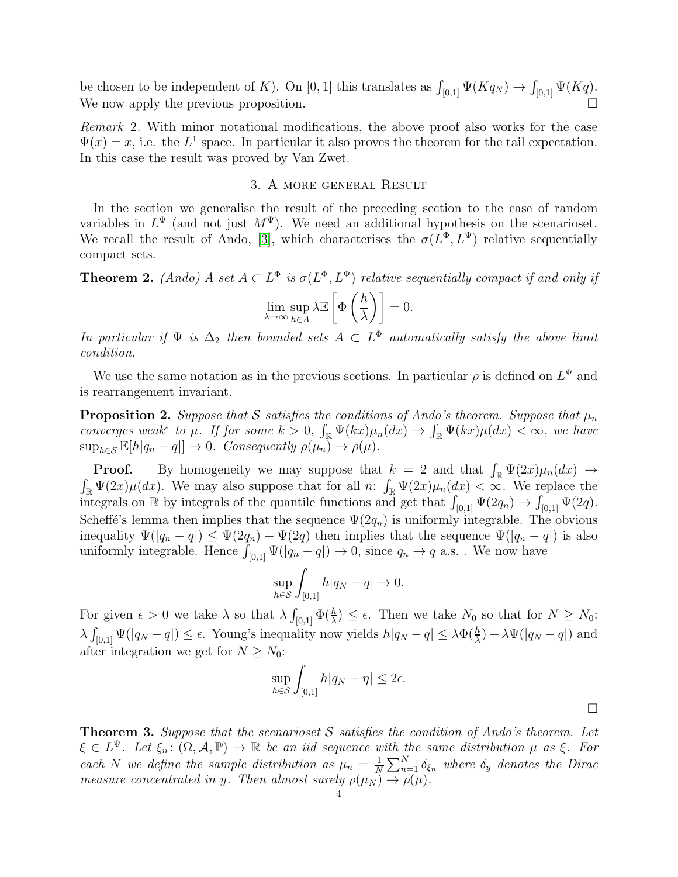be chosen to be independent of K). On [0, 1] this translates as  $\int_{[0,1]} \Psi(Kq_N) \to \int_{[0,1]} \Psi(Kq)$ . We now apply the previous proposition.

Remark 2. With minor notational modifications, the above proof also works for the case  $\Psi(x) = x$ , i.e. the  $L^1$  space. In particular it also proves the theorem for the tail expectation. In this case the result was proved by Van Zwet.

## 3. A more general Result

In the section we generalise the result of the preceding section to the case of random variables in  $L^{\Psi}$  (and not just  $M^{\Psi}$ ). We need an additional hypothesis on the scenarioset. We recall the result of Ando, [\[3\]](#page-4-0), which characterises the  $\sigma(L^{\Phi}, L^{\Psi})$  relative sequentially compact sets.

**Theorem 2.** (Ando) A set  $A \subset L^{\Phi}$  is  $\sigma(L^{\Phi}, L^{\Psi})$  relative sequentially compact if and only if

$$
\lim_{\lambda \to \infty} \sup_{h \in A} \lambda \mathbb{E}\left[\Phi\left(\frac{h}{\lambda}\right)\right] = 0.
$$

In particular if  $\Psi$  is  $\Delta_2$  then bounded sets  $A \subset L^{\Phi}$  automatically satisfy the above limit condition.

We use the same notation as in the previous sections. In particular  $\rho$  is defined on  $L^{\Psi}$  and is rearrangement invariant.

**Proposition 2.** Suppose that S satisfies the conditions of Ando's theorem. Suppose that  $\mu_n$ converges weak<sup>\*</sup> to  $\mu$ . If for some  $k > 0$ ,  $\int_{\mathbb{R}} \Psi(kx) \mu_n(dx) \to \int_{\mathbb{R}} \Psi(kx) \mu(dx) < \infty$ , we have  $\sup_{h \in \mathcal{S}} \mathbb{E}[h|q_n - q|] \to 0$ . Consequently  $\rho(\mu_n) \to \rho(\mu)$ .

**Proof.** By homogeneity we may suppose that  $k = 2$  and that  $\int_{\mathbb{R}} \Psi(2x) \mu_n(dx) \to$  $\int_{\mathbb{R}} \Psi(2x) \mu(dx)$ . We may also suppose that for all n:  $\int_{\mathbb{R}} \Psi(2x) \mu_n(dx) < \infty$ . We replace the integrals on R by integrals of the quantile functions and get that  $\int_{[0,1]} \Psi(2q_n) \to \int_{[0,1]} \Psi(2q)$ . Scheffé's lemma then implies that the sequence  $\Psi(2q_n)$  is uniformly integrable. The obvious inequality  $\Psi(|q_n-q|) \leq \Psi(2q_n) + \Psi(2q)$  then implies that the sequence  $\Psi(|q_n-q|)$  is also uniformly integrable. Hence  $\int_{[0,1]} \Psi(|q_n - q|) \to 0$ , since  $q_n \to q$  a.s. . We now have

$$
\sup_{h\in\mathcal{S}}\int_{[0,1]}h|q_N-q|\to 0.
$$

For given  $\epsilon > 0$  we take  $\lambda$  so that  $\lambda \int_{[0,1]} \Phi(\frac{h}{\lambda}) \leq \epsilon$ . Then we take  $N_0$  so that for  $N \geq N_0$ :  $\lambda \int_{[0,1]} \Psi(|q_N - q|) \leq \epsilon$ . Young's inequality now yields  $h|q_N - q| \leq \lambda \Phi(\frac{h}{\lambda}) + \lambda \Psi(|q_N - q|)$  and after integration we get for  $N \geq N_0$ :

$$
\sup_{h\in\mathcal{S}}\int_{[0,1]}h|q_N-\eta|\leq 2\epsilon.
$$

**Theorem 3.** Suppose that the scenarioset S satisfies the condition of Ando's theorem. Let  $\xi \in L^{\Psi}$ . Let  $\xi_n \colon (\Omega, \mathcal{A}, \mathbb{P}) \to \mathbb{R}$  be an iid sequence with the same distribution  $\mu$  as  $\xi$ . For each N we define the sample distribution as  $\mu_n = \frac{1}{N}$  $\frac{1}{N}\sum_{n=1}^{N}\delta_{\xi_n}$  where  $\delta_y$  denotes the Dirac measure concentrated in y. Then almost surely  $\rho(\mu_N) \to \rho(\mu)$ .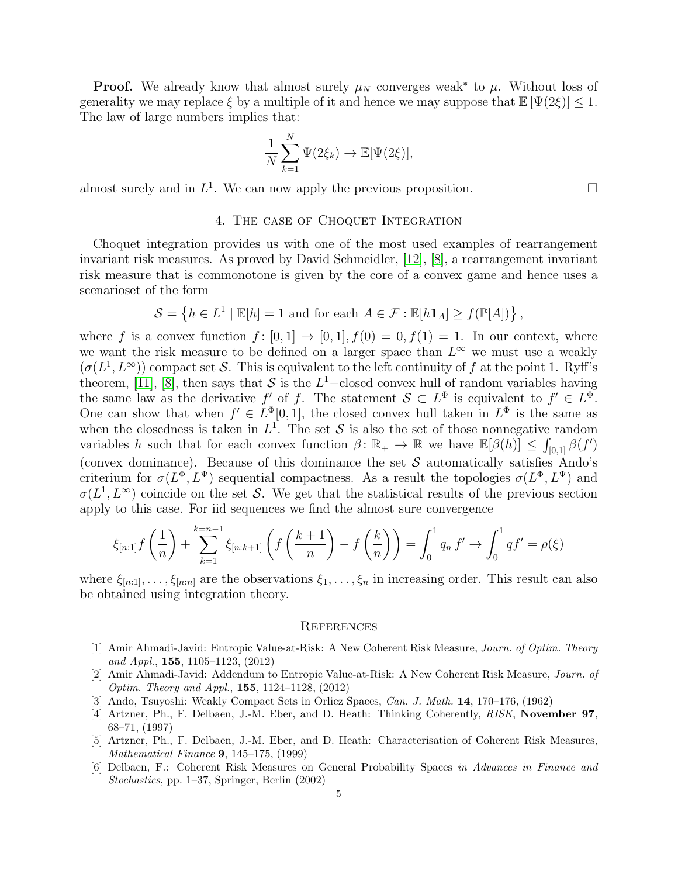**Proof.** We already know that almost surely  $\mu_N$  converges weak<sup>\*</sup> to  $\mu$ . Without loss of generality we may replace  $\xi$  by a multiple of it and hence we may suppose that  $\mathbb{E}[\Psi(2\xi)] \leq 1$ . The law of large numbers implies that:

$$
\frac{1}{N}\sum_{k=1}^N \Psi(2\xi_k) \to \mathbb{E}[\Psi(2\xi)],
$$

almost surely and in  $L^1$ . We can now apply the previous proposition.

### 4. The case of Choquet Integration

Choquet integration provides us with one of the most used examples of rearrangement invariant risk measures. As proved by David Schmeidler, [\[12\]](#page-5-2), [\[8\]](#page-5-3), a rearrangement invariant risk measure that is commonotone is given by the core of a convex game and hence uses a scenarioset of the form

$$
\mathcal{S} = \left\{ h \in L^1 \mid \mathbb{E}[h] = 1 \text{ and for each } A \in \mathcal{F} : \mathbb{E}[h\mathbf{1}_A] \ge f(\mathbb{P}[A]) \right\},\
$$

where f is a convex function  $f: [0,1] \rightarrow [0,1], f(0) = 0, f(1) = 1$ . In our context, where we want the risk measure to be defined on a larger space than  $L^{\infty}$  we must use a weakly  $(\sigma(L^1, L^{\infty}))$  compact set S. This is equivalent to the left continuity of f at the point 1. Ryff's theorem, [\[11\]](#page-5-4), [\[8\]](#page-5-3), then says that S is the  $L^1$ -closed convex hull of random variables having the same law as the derivative f' of f. The statement  $S \subset L^{\Phi}$  is equivalent to  $f' \in L^{\Phi}$ . One can show that when  $f' \in L^{\Phi}[0,1]$ , the closed convex hull taken in  $L^{\Phi}$  is the same as when the closedness is taken in  $L^1$ . The set S is also the set of those nonnegative random variables h such that for each convex function  $\beta \colon \mathbb{R}_+ \to \mathbb{R}$  we have  $\mathbb{E}[\beta(h)] \leq \int_{[0,1]} \beta(f')$ (convex dominance). Because of this dominance the set  $\mathcal S$  automatically satisfies Ando's criterium for  $\sigma(L^{\Phi}, L^{\Psi})$  sequential compactness. As a result the topologies  $\sigma(L^{\Phi}, L^{\Psi})$  and  $\sigma(L^1, L^{\infty})$  coincide on the set S. We get that the statistical results of the previous section apply to this case. For iid sequences we find the almost sure convergence

$$
\xi_{[n:1]}f\left(\frac{1}{n}\right) + \sum_{k=1}^{k=n-1} \xi_{[n:k+1]} \left( f\left(\frac{k+1}{n}\right) - f\left(\frac{k}{n}\right) \right) = \int_0^1 q_n f' \to \int_0^1 qf' = \rho(\xi)
$$

where  $\xi_{[n:1]},\ldots,\xi_{[n:n]}$  are the observations  $\xi_1,\ldots,\xi_n$  in increasing order. This result can also be obtained using integration theory.

#### **REFERENCES**

- [1] Amir Ahmadi-Javid: Entropic Value-at-Risk: A New Coherent Risk Measure, Journ. of Optim. Theory and Appl., 155, 1105–1123, (2012)
- [2] Amir Ahmadi-Javid: Addendum to Entropic Value-at-Risk: A New Coherent Risk Measure, Journ. of Optim. Theory and Appl., 155, 1124–1128, (2012)
- <span id="page-4-0"></span>[3] Ando, Tsuyoshi: Weakly Compact Sets in Orlicz Spaces, Can. J. Math. 14, 170–176, (1962)
- [4] Artzner, Ph., F. Delbaen, J.-M. Eber, and D. Heath: Thinking Coherently, RISK, November 97, 68–71, (1997)
- [5] Artzner, Ph., F. Delbaen, J.-M. Eber, and D. Heath: Characterisation of Coherent Risk Measures, Mathematical Finance 9, 145–175, (1999)
- [6] Delbaen, F.: Coherent Risk Measures on General Probability Spaces in Advances in Finance and Stochastics, pp. 1–37, Springer, Berlin (2002)